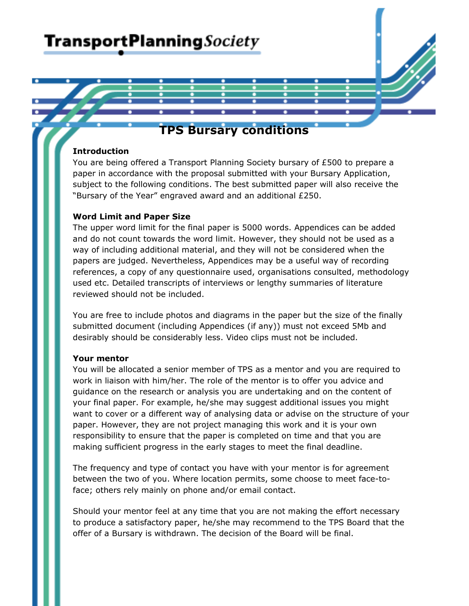

# **Introduction**

You are being offered a Transport Planning Society bursary of £500 to prepare a paper in accordance with the proposal submitted with your Bursary Application, subject to the following conditions. The best submitted paper will also receive the "Bursary of the Year" engraved award and an additional £250.

## Word Limit and Paper Size

The upper word limit for the final paper is 5000 words. Appendices can be added and do not count towards the word limit. However, they should not be used as a way of including additional material, and they will not be considered when the papers are judged. Nevertheless, Appendices may be a useful way of recording references, a copy of any questionnaire used, organisations consulted, methodology used etc. Detailed transcripts of interviews or lengthy summaries of literature reviewed should not be included.

You are free to include photos and diagrams in the paper but the size of the finally submitted document (including Appendices (if any)) must not exceed 5Mb and desirably should be considerably less. Video clips must not be included.

## Your mentor

You will be allocated a senior member of TPS as a mentor and you are required to work in liaison with him/her. The role of the mentor is to offer you advice and guidance on the research or analysis you are undertaking and on the content of your final paper. For example, he/she may suggest additional issues you might want to cover or a different way of analysing data or advise on the structure of your paper. However, they are not project managing this work and it is your own responsibility to ensure that the paper is completed on time and that you are making sufficient progress in the early stages to meet the final deadline.

The frequency and type of contact you have with your mentor is for agreement between the two of you. Where location permits, some choose to meet face-toface; others rely mainly on phone and/or email contact.

Should your mentor feel at any time that you are not making the effort necessary to produce a satisfactory paper, he/she may recommend to the TPS Board that the offer of a Bursary is withdrawn. The decision of the Board will be final.